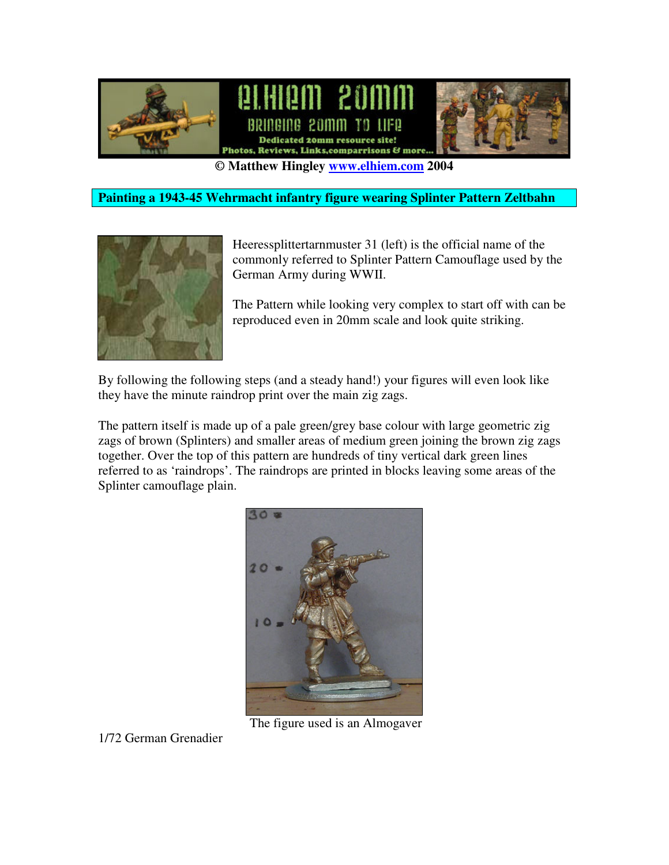

**© Matthew Hingley www.elhiem.com 2004**

### **Painting a 1943-45 Wehrmacht infantry figure wearing Splinter Pattern Zeltbahn**



Heeressplittertarnmuster 31 (left) is the official name of the commonly referred to Splinter Pattern Camouflage used by the German Army during WWII.

The Pattern while looking very complex to start off with can be reproduced even in 20mm scale and look quite striking.

By following the following steps (and a steady hand!) your figures will even look like they have the minute raindrop print over the main zig zags.

The pattern itself is made up of a pale green/grey base colour with large geometric zig zags of brown (Splinters) and smaller areas of medium green joining the brown zig zags together. Over the top of this pattern are hundreds of tiny vertical dark green lines referred to as 'raindrops'. The raindrops are printed in blocks leaving some areas of the Splinter camouflage plain.



The figure used is an Almogaver

1/72 German Grenadier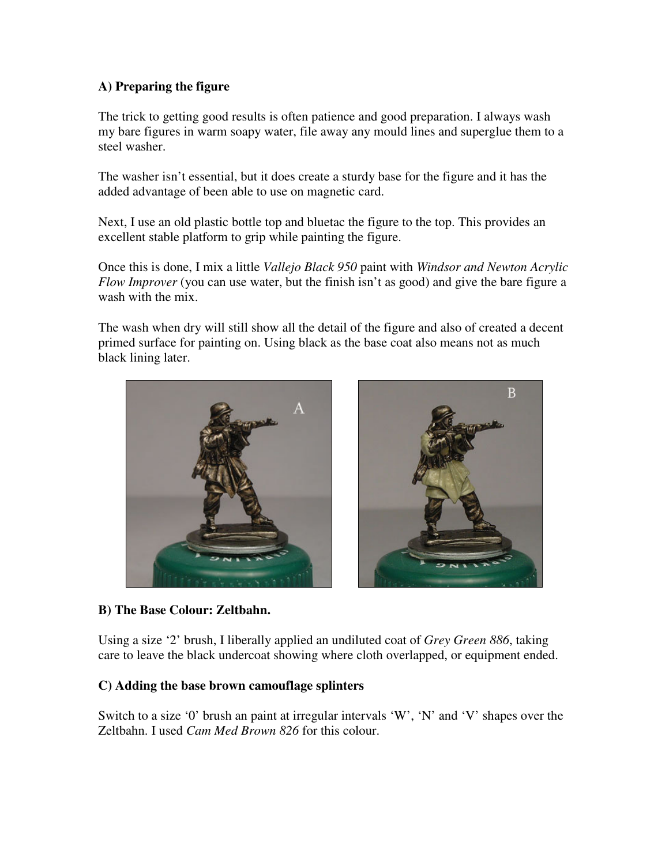## **A) Preparing the figure**

The trick to getting good results is often patience and good preparation. I always wash my bare figures in warm soapy water, file away any mould lines and superglue them to a steel washer.

The washer isn't essential, but it does create a sturdy base for the figure and it has the added advantage of been able to use on magnetic card.

Next, I use an old plastic bottle top and bluetac the figure to the top. This provides an excellent stable platform to grip while painting the figure.

Once this is done, I mix a little *Vallejo Black 950* paint with *Windsor and Newton Acrylic Flow Improver* (you can use water, but the finish isn't as good) and give the bare figure a wash with the mix.

The wash when dry will still show all the detail of the figure and also of created a decent primed surface for painting on. Using black as the base coat also means not as much black lining later.



#### **B) The Base Colour: Zeltbahn.**

Using a size '2' brush, I liberally applied an undiluted coat of *Grey Green 886*, taking care to leave the black undercoat showing where cloth overlapped, or equipment ended.

#### **C) Adding the base brown camouflage splinters**

Switch to a size '0' brush an paint at irregular intervals 'W', 'N' and 'V' shapes over the Zeltbahn. I used *Cam Med Brown 826* for this colour.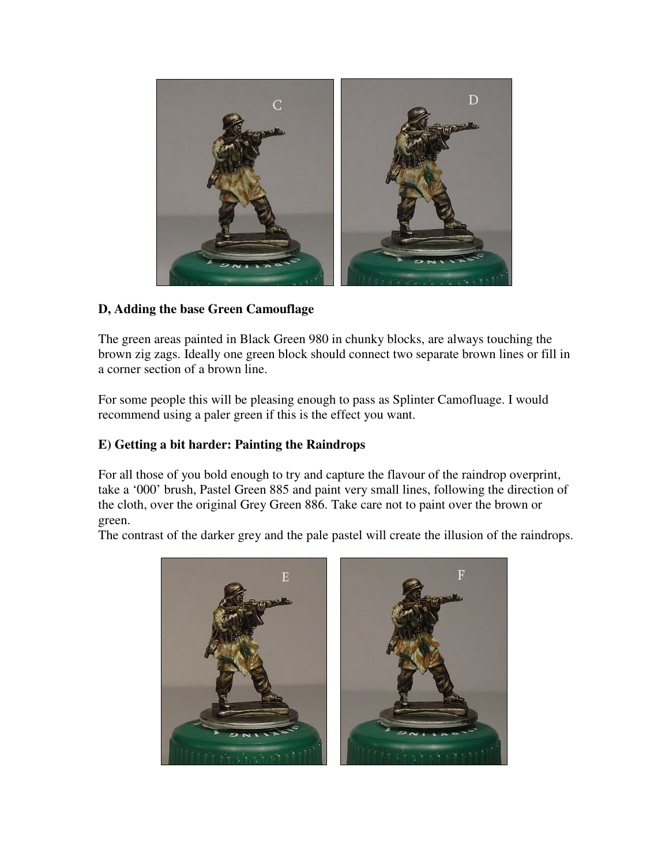

## **D, Adding the base Green Camouflage**

The green areas painted in Black Green 980 in chunky blocks, are always touching the brown zig zags. Ideally one green block should connect two separate brown lines or fill in a corner section of a brown line.

For some people this will be pleasing enough to pass as Splinter Camofluage. I would recommend using a paler green if this is the effect you want.

# **E) Getting a bit harder: Painting the Raindrops**

For all those of you bold enough to try and capture the flavour of the raindrop overprint, take a '000' brush, Pastel Green 885 and paint very small lines, following the direction of the cloth, over the original Grey Green 886. Take care not to paint over the brown or green.

The contrast of the darker grey and the pale pastel will create the illusion of the raindrops.

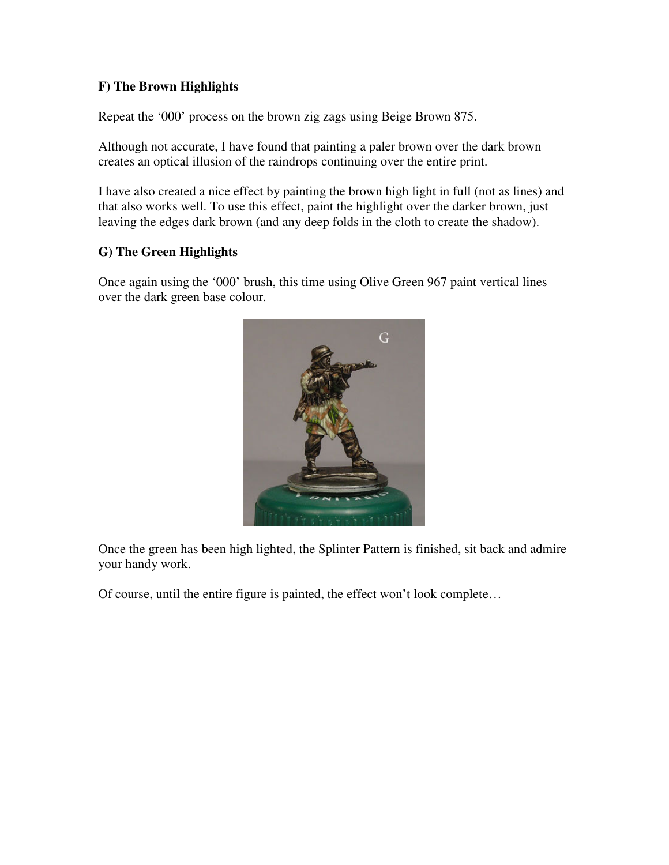## **F) The Brown Highlights**

Repeat the '000' process on the brown zig zags using Beige Brown 875.

Although not accurate, I have found that painting a paler brown over the dark brown creates an optical illusion of the raindrops continuing over the entire print.

I have also created a nice effect by painting the brown high light in full (not as lines) and that also works well. To use this effect, paint the highlight over the darker brown, just leaving the edges dark brown (and any deep folds in the cloth to create the shadow).

## **G) The Green Highlights**

Once again using the '000' brush, this time using Olive Green 967 paint vertical lines over the dark green base colour.



Once the green has been high lighted, the Splinter Pattern is finished, sit back and admire your handy work.

Of course, until the entire figure is painted, the effect won't look complete…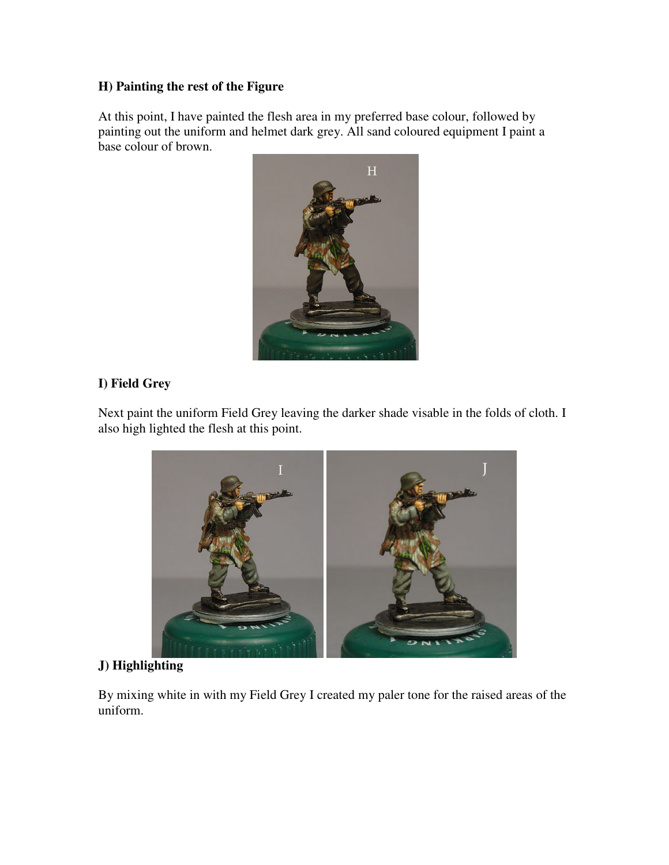# **H) Painting the rest of the Figure**

At this point, I have painted the flesh area in my preferred base colour, followed by painting out the uniform and helmet dark grey. All sand coloured equipment I paint a base colour of brown.



## **I) Field Grey**

Next paint the uniform Field Grey leaving the darker shade visable in the folds of cloth. I also high lighted the flesh at this point.



# **J) Highlighting**

By mixing white in with my Field Grey I created my paler tone for the raised areas of the uniform.